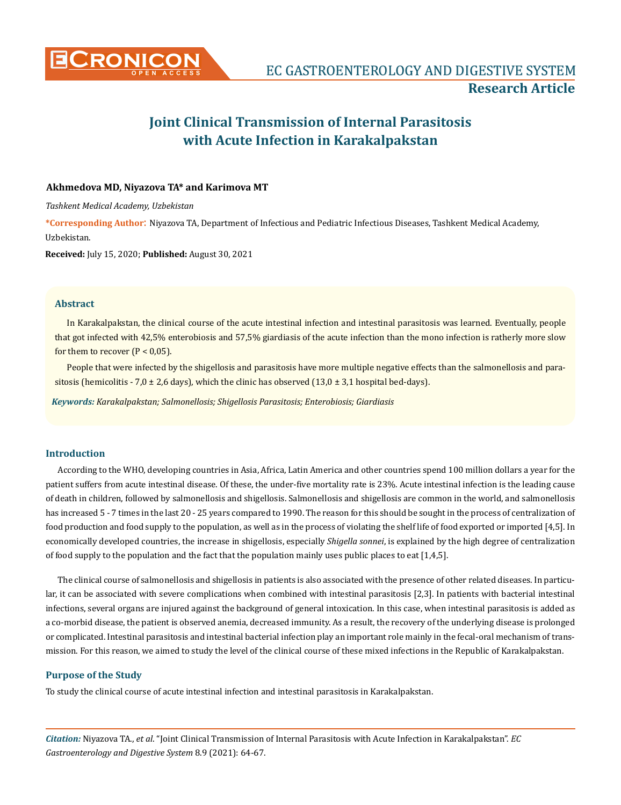

# **Joint Clinical Transmission of Internal Parasitosis with Acute Infection in Karakalpakstan**

#### **Akhmedova MD, Niyazova TA\* and Karimova MT**

*Tashkent Medical Academy, Uzbekistan*

**\*Corresponding Author**: Niyazova TA, Department of Infectious and Pediatric Infectious Diseases, Tashkent Medical Academy, Uzbekistan.

**Received:** July 15, 2020; **Published:** August 30, 2021

#### **Abstract**

In Karakalpakstan, the clinical course of the acute intestinal infection and intestinal parasitosis was learned. Eventually, people that got infected with 42,5% enterobiosis and 57,5% giardiasis of the acute infection than the mono infection is ratherly more slow for them to recover  $(P < 0.05)$ .

People that were infected by the shigellosis and parasitosis have more multiple negative effects than the salmonellosis and parasitosis (hemicolitis - 7,0 ± 2,6 days), which the clinic has observed  $(13,0 \pm 3,1)$  hospital bed-days).

*Keywords: Karakalpakstan; Salmonellosis; Shigellosis Parasitosis; Enterobiosis; Giardiasis*

#### **Introduction**

According to the WHO, developing countries in Asia, Africa, Latin America and other countries spend 100 million dollars a year for the patient suffers from acute intestinal disease. Of these, the under-five mortality rate is 23%. Acute intestinal infection is the leading cause of death in children, followed by salmonellosis and shigellosis. Salmonellosis and shigellosis are common in the world, and salmonellosis has increased 5 - 7 times in the last 20 - 25 years compared to 1990. The reason for this should be sought in the process of centralization of food production and food supply to the population, as well as in the process of violating the shelf life of food exported or imported [4,5]. In economically developed countries, the increase in shigellosis, especially *Shigella sonnei*, is explained by the high degree of centralization of food supply to the population and the fact that the population mainly uses public places to eat [1,4,5].

The clinical course of salmonellosis and shigellosis in patients is also associated with the presence of other related diseases. In particular, it can be associated with severe complications when combined with intestinal parasitosis [2,3]. In patients with bacterial intestinal infections, several organs are injured against the background of general intoxication. In this case, when intestinal parasitosis is added as a co-morbid disease, the patient is observed anemia, decreased immunity. As a result, the recovery of the underlying disease is prolonged or complicated. Intestinal parasitosis and intestinal bacterial infection play an important role mainly in the fecal-oral mechanism of transmission. For this reason, we aimed to study the level of the clinical course of these mixed infections in the Republic of Karakalpakstan.

#### **Purpose of the Study**

To study the clinical course of acute intestinal infection and intestinal parasitosis in Karakalpakstan.

*Citation:* Niyazova TA., *et al*. "Joint Clinical Transmission of Internal Parasitosis with Acute Infection in Karakalpakstan". *EC Gastroenterology and Digestive System* 8.9 (2021): 64-67.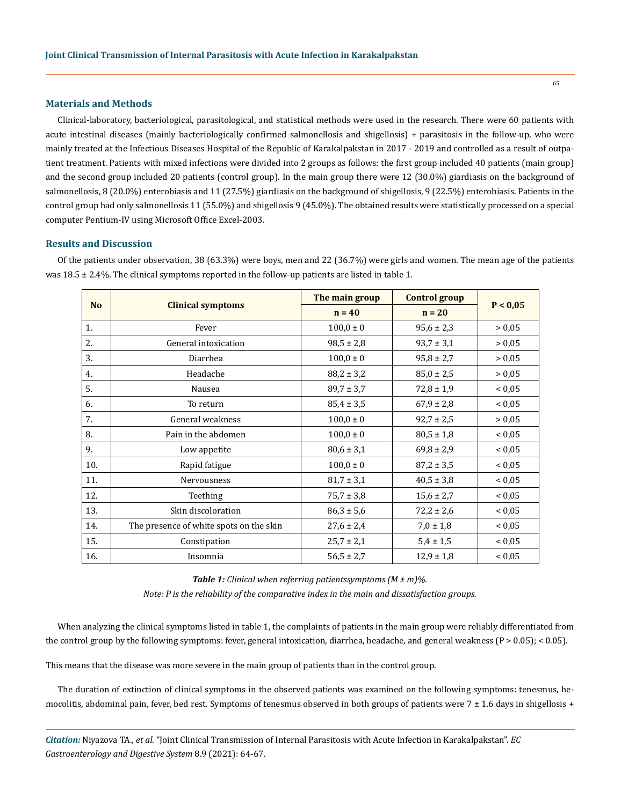#### **Materials and Methods**

Clinical-laboratory, bacteriological, parasitological, and statistical methods were used in the research. There were 60 patients with acute intestinal diseases (mainly bacteriologically confirmed salmonellosis and shigellosis) + parasitosis in the follow-up, who were mainly treated at the Infectious Diseases Hospital of the Republic of Karakalpakstan in 2017 - 2019 and controlled as a result of outpatient treatment. Patients with mixed infections were divided into 2 groups as follows: the first group included 40 patients (main group) and the second group included 20 patients (control group). In the main group there were 12 (30.0%) giardiasis on the background of salmonellosis, 8 (20.0%) enterobiasis and 11 (27.5%) giardiasis on the background of shigellosis, 9 (22.5%) enterobiasis. Patients in the control group had only salmonellosis 11 (55.0%) and shigellosis 9 (45.0%). The obtained results were statistically processed on a special computer Pentium-IV using Microsoft Office Excel-2003.

## **Results and Discussion**

Of the patients under observation, 38 (63.3%) were boys, men and 22 (36.7%) were girls and women. The mean age of the patients was  $18.5 \pm 2.4\%$ . The clinical symptoms reported in the follow-up patients are listed in table 1.

| <b>No</b> | <b>Clinical symptoms</b>                | The main group | <b>Control group</b> | P < 0,05 |
|-----------|-----------------------------------------|----------------|----------------------|----------|
|           |                                         | $n = 40$       | $n = 20$             |          |
| 1.        | Fever                                   | $100,0 \pm 0$  | $95,6 \pm 2,3$       | > 0.05   |
| 2.        | General intoxication                    | $98,5 \pm 2,8$ | $93,7 \pm 3,1$       | > 0.05   |
| 3.        | Diarrhea                                | $100,0 \pm 0$  | $95,8 \pm 2,7$       | > 0.05   |
| 4.        | Headache                                | $88,2 \pm 3,2$ | $85,0 \pm 2,5$       | > 0.05   |
| 5.        | Nausea                                  | $89,7 \pm 3,7$ | $72,8 \pm 1,9$       | < 0.05   |
| 6.        | To return                               | $85,4 \pm 3,5$ | $67,9 \pm 2,8$       | < 0.05   |
| 7.        | General weakness                        | $100,0 \pm 0$  | $92,7 \pm 2,5$       | > 0.05   |
| 8.        | Pain in the abdomen                     | $100,0 \pm 0$  | $80,5 \pm 1,8$       | < 0.05   |
| 9.        | Low appetite                            | $80,6 \pm 3,1$ | $69,8 \pm 2,9$       | < 0.05   |
| 10.       | Rapid fatigue                           | $100,0 \pm 0$  | $87,2 \pm 3,5$       | < 0.05   |
| 11.       | Nervousness                             | $81,7 \pm 3,1$ | $40,5 \pm 3,8$       | < 0.05   |
| 12.       | Teething                                | $75,7 \pm 3,8$ | $15,6 \pm 2,7$       | < 0.05   |
| 13.       | Skin discoloration                      | $86,3 \pm 5,6$ | $72,2 \pm 2,6$       | 0,05     |
| 14.       | The presence of white spots on the skin | $27,6 \pm 2,4$ | $7,0 \pm 1,8$        | < 0.05   |
| 15.       | Constipation                            | $25,7 \pm 2,1$ | $5,4 \pm 1,5$        | < 0.05   |
| 16.       | Insomnia                                | $56,5 \pm 2,7$ | $12,9 \pm 1,8$       | < 0.05   |

*Table 1: Clinical when referring patientssymptoms (M ± m)%.*

*Note: P is the reliability of the comparative index in the main and dissatisfaction groups.*

When analyzing the clinical symptoms listed in table 1, the complaints of patients in the main group were reliably differentiated from the control group by the following symptoms: fever, general intoxication, diarrhea, headache, and general weakness ( $P > 0.05$ ); < 0.05).

This means that the disease was more severe in the main group of patients than in the control group.

The duration of extinction of clinical symptoms in the observed patients was examined on the following symptoms: tenesmus, hemocolitis, abdominal pain, fever, bed rest. Symptoms of tenesmus observed in both groups of patients were 7 ± 1.6 days in shigellosis +

*Citation:* Niyazova TA., *et al*. "Joint Clinical Transmission of Internal Parasitosis with Acute Infection in Karakalpakstan". *EC Gastroenterology and Digestive System* 8.9 (2021): 64-67.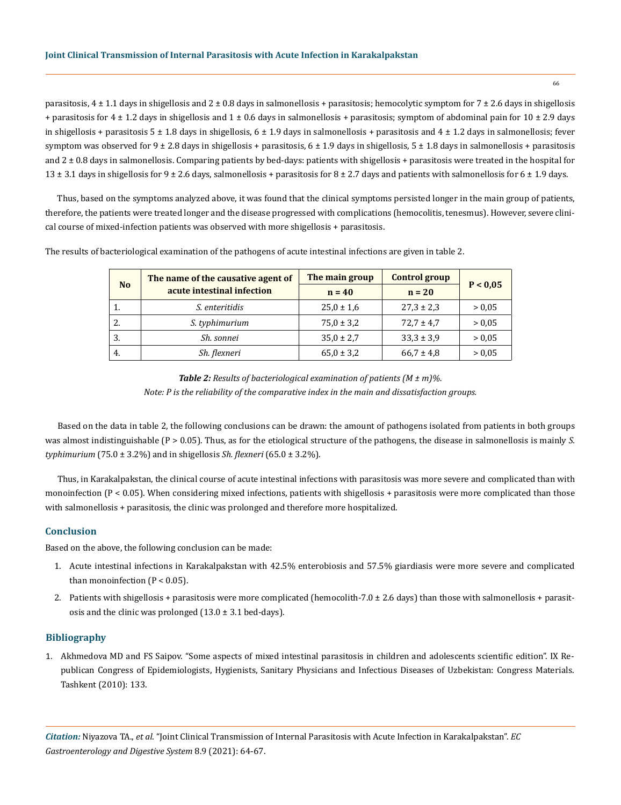parasitosis,  $4 \pm 1.1$  days in shigellosis and  $2 \pm 0.8$  days in salmonellosis + parasitosis; hemocolytic symptom for  $7 \pm 2.6$  days in shigellosis + parasitosis for  $4 \pm 1.2$  days in shigellosis and  $1 \pm 0.6$  days in salmonellosis + parasitosis; symptom of abdominal pain for  $10 \pm 2.9$  days in shigellosis + parasitosis 5 ± 1.8 days in shigellosis, 6 ± 1.9 days in salmonellosis + parasitosis and 4 ± 1.2 days in salmonellosis; fever symptom was observed for  $9 \pm 2.8$  days in shigellosis + parasitosis,  $6 \pm 1.9$  days in shigellosis,  $5 \pm 1.8$  days in salmonellosis + parasitosis and 2 ± 0.8 days in salmonellosis. Comparing patients by bed-days: patients with shigellosis + parasitosis were treated in the hospital for 13  $\pm$  3.1 days in shigellosis for 9  $\pm$  2.6 days, salmonellosis + parasitosis for 8  $\pm$  2.7 days and patients with salmonellosis for 6  $\pm$  1.9 days.

Thus, based on the symptoms analyzed above, it was found that the clinical symptoms persisted longer in the main group of patients, therefore, the patients were treated longer and the disease progressed with complications (hemocolitis, tenesmus). However, severe clinical course of mixed-infection patients was observed with more shigellosis + parasitosis.

| <b>No</b> | The name of the causative agent of<br>acute intestinal infection | The main group | <b>Control group</b> | P < 0.05 |
|-----------|------------------------------------------------------------------|----------------|----------------------|----------|
|           |                                                                  | $n = 40$       | $n = 20$             |          |
| 1.        | <i>S. enteritidis</i>                                            | $25.0 \pm 1.6$ | $27.3 \pm 2.3$       | > 0.05   |
|           | S. typhimurium                                                   | $75.0 \pm 3.2$ | $72.7 \pm 4.7$       | > 0.05   |
| 3.        | Sh. sonnei                                                       | $35.0 \pm 2.7$ | $33.3 \pm 3.9$       | > 0.05   |
| 4.        | Sh. flexneri                                                     | $65.0 \pm 3.2$ | $66,7 \pm 4,8$       | > 0,05   |

The results of bacteriological examination of the pathogens of acute intestinal infections are given in table 2.

Based on the data in table 2, the following conclusions can be drawn: the amount of pathogens isolated from patients in both groups was almost indistinguishable (P > 0.05). Thus, as for the etiological structure of the pathogens, the disease in salmonellosis is mainly *S. typhimurium* (75.0 ± 3.2%) and in shigellosis *Sh. flexneri* (65.0 ± 3.2%).

Thus, in Karakalpakstan, the clinical course of acute intestinal infections with parasitosis was more severe and complicated than with monoinfection (P < 0.05). When considering mixed infections, patients with shigellosis + parasitosis were more complicated than those with salmonellosis + parasitosis, the clinic was prolonged and therefore more hospitalized.

## **Conclusion**

Based on the above, the following conclusion can be made:

- 1. Acute intestinal infections in Karakalpakstan with 42.5% enterobiosis and 57.5% giardiasis were more severe and complicated than monoinfection ( $P < 0.05$ ).
- 2. Patients with shigellosis + parasitosis were more complicated (hemocolith-7.0  $\pm$  2.6 days) than those with salmonellosis + parasitosis and the clinic was prolonged  $(13.0 \pm 3.1 \text{ bed-days}).$

## **Bibliography**

1. Akhmedova MD and FS Saipov. "Some aspects of mixed intestinal parasitosis in children and adolescents scientific edition". IX Republican Congress of Epidemiologists, Hygienists, Sanitary Physicians and Infectious Diseases of Uzbekistan: Congress Materials. Tashkent (2010): 133.

66

*Table 2: Results of bacteriological examination of patients (M ± m)%. Note: P is the reliability of the comparative index in the main and dissatisfaction groups.*